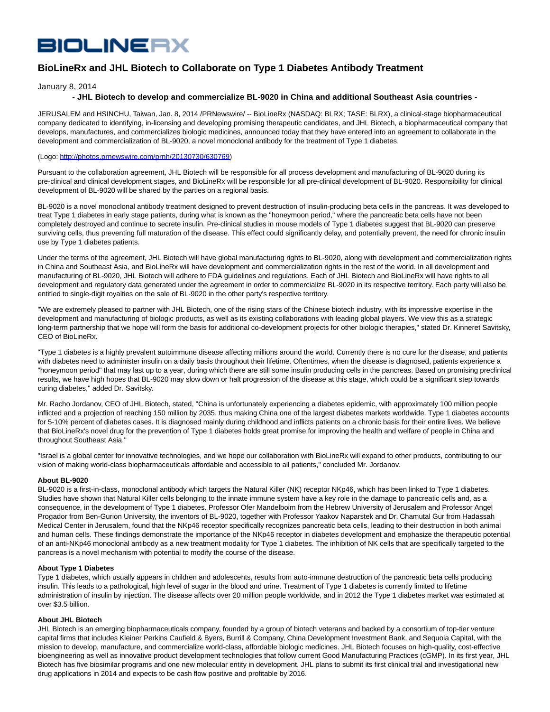# **BIOLINERX**

# **BioLineRx and JHL Biotech to Collaborate on Type 1 Diabetes Antibody Treatment**

January 8, 2014

## **- JHL Biotech to develop and commercialize BL-9020 in China and additional Southeast Asia countries -**

JERUSALEM and HSINCHU, Taiwan, Jan. 8, 2014 /PRNewswire/ -- BioLineRx (NASDAQ: BLRX; TASE: BLRX), a clinical-stage biopharmaceutical company dedicated to identifying, in-licensing and developing promising therapeutic candidates, and JHL Biotech, a biopharmaceutical company that develops, manufactures, and commercializes biologic medicines, announced today that they have entered into an agreement to collaborate in the development and commercialization of BL-9020, a novel monoclonal antibody for the treatment of Type 1 diabetes.

#### (Logo: [http://photos.prnewswire.com/prnh/20130730/630769\)](http://photos.prnewswire.com/prnh/20130730/630769)

Pursuant to the collaboration agreement, JHL Biotech will be responsible for all process development and manufacturing of BL-9020 during its pre-clinical and clinical development stages, and BioLineRx will be responsible for all pre-clinical development of BL-9020. Responsibility for clinical development of BL-9020 will be shared by the parties on a regional basis.

BL-9020 is a novel monoclonal antibody treatment designed to prevent destruction of insulin-producing beta cells in the pancreas. It was developed to treat Type 1 diabetes in early stage patients, during what is known as the "honeymoon period," where the pancreatic beta cells have not been completely destroyed and continue to secrete insulin. Pre-clinical studies in mouse models of Type 1 diabetes suggest that BL-9020 can preserve surviving cells, thus preventing full maturation of the disease. This effect could significantly delay, and potentially prevent, the need for chronic insulin use by Type 1 diabetes patients.

Under the terms of the agreement, JHL Biotech will have global manufacturing rights to BL-9020, along with development and commercialization rights in China and Southeast Asia, and BioLineRx will have development and commercialization rights in the rest of the world. In all development and manufacturing of BL-9020, JHL Biotech will adhere to FDA guidelines and regulations. Each of JHL Biotech and BioLineRx will have rights to all development and regulatory data generated under the agreement in order to commercialize BL-9020 in its respective territory. Each party will also be entitled to single-digit royalties on the sale of BL-9020 in the other party's respective territory.

"We are extremely pleased to partner with JHL Biotech, one of the rising stars of the Chinese biotech industry, with its impressive expertise in the development and manufacturing of biologic products, as well as its existing collaborations with leading global players. We view this as a strategic long-term partnership that we hope will form the basis for additional co-development projects for other biologic therapies," stated Dr. Kinneret Savitsky, CEO of BioLineRx.

"Type 1 diabetes is a highly prevalent autoimmune disease affecting millions around the world. Currently there is no cure for the disease, and patients with diabetes need to administer insulin on a daily basis throughout their lifetime. Oftentimes, when the disease is diagnosed, patients experience a "honeymoon period" that may last up to a year, during which there are still some insulin producing cells in the pancreas. Based on promising preclinical results, we have high hopes that BL-9020 may slow down or halt progression of the disease at this stage, which could be a significant step towards curing diabetes," added Dr. Savitsky.

Mr. Racho Jordanov, CEO of JHL Biotech, stated, "China is unfortunately experiencing a diabetes epidemic, with approximately 100 million people inflicted and a projection of reaching 150 million by 2035, thus making China one of the largest diabetes markets worldwide. Type 1 diabetes accounts for 5-10% percent of diabetes cases. It is diagnosed mainly during childhood and inflicts patients on a chronic basis for their entire lives. We believe that BioLineRx's novel drug for the prevention of Type 1 diabetes holds great promise for improving the health and welfare of people in China and throughout Southeast Asia."

"Israel is a global center for innovative technologies, and we hope our collaboration with BioLineRx will expand to other products, contributing to our vision of making world-class biopharmaceuticals affordable and accessible to all patients," concluded Mr. Jordanov.

#### **About BL-9020**

BL-9020 is a first-in-class, monoclonal antibody which targets the Natural Killer (NK) receptor NKp46, which has been linked to Type 1 diabetes. Studies have shown that Natural Killer cells belonging to the innate immune system have a key role in the damage to pancreatic cells and, as a consequence, in the development of Type 1 diabetes. Professor Ofer Mandelboim from the Hebrew University of Jerusalem and Professor Angel Progador from Ben-Gurion University, the inventors of BL-9020, together with Professor Yaakov Naparstek and Dr. Chamutal Gur from Hadassah Medical Center in Jerusalem, found that the NKp46 receptor specifically recognizes pancreatic beta cells, leading to their destruction in both animal and human cells. These findings demonstrate the importance of the NKp46 receptor in diabetes development and emphasize the therapeutic potential of an anti-NKp46 monoclonal antibody as a new treatment modality for Type 1 diabetes. The inhibition of NK cells that are specifically targeted to the pancreas is a novel mechanism with potential to modify the course of the disease.

### **About Type 1 Diabetes**

Type 1 diabetes, which usually appears in children and adolescents, results from auto-immune destruction of the pancreatic beta cells producing insulin. This leads to a pathological, high level of sugar in the blood and urine. Treatment of Type 1 diabetes is currently limited to lifetime administration of insulin by injection. The disease affects over 20 million people worldwide, and in 2012 the Type 1 diabetes market was estimated at over \$3.5 billion.

#### **About JHL Biotech**

JHL Biotech is an emerging biopharmaceuticals company, founded by a group of biotech veterans and backed by a consortium of top-tier venture capital firms that includes Kleiner Perkins Caufield & Byers, Burrill & Company, China Development Investment Bank, and Sequoia Capital, with the mission to develop, manufacture, and commercialize world-class, affordable biologic medicines. JHL Biotech focuses on high-quality, cost-effective bioengineering as well as innovative product development technologies that follow current Good Manufacturing Practices (cGMP). In its first year, JHL Biotech has five biosimilar programs and one new molecular entity in development. JHL plans to submit its first clinical trial and investigational new drug applications in 2014 and expects to be cash flow positive and profitable by 2016.